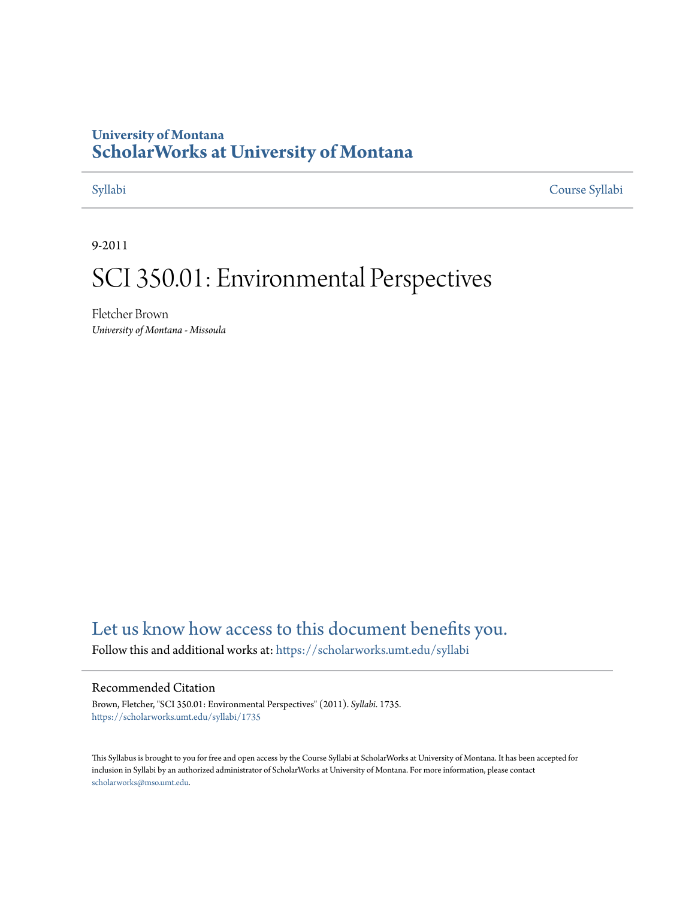## **University of Montana [ScholarWorks at University of Montana](https://scholarworks.umt.edu?utm_source=scholarworks.umt.edu%2Fsyllabi%2F1735&utm_medium=PDF&utm_campaign=PDFCoverPages)**

[Syllabi](https://scholarworks.umt.edu/syllabi?utm_source=scholarworks.umt.edu%2Fsyllabi%2F1735&utm_medium=PDF&utm_campaign=PDFCoverPages) [Course Syllabi](https://scholarworks.umt.edu/course_syllabi?utm_source=scholarworks.umt.edu%2Fsyllabi%2F1735&utm_medium=PDF&utm_campaign=PDFCoverPages)

9-2011

# SCI 350.01: Environmental Perspectives

Fletcher Brown *University of Montana - Missoula*

# [Let us know how access to this document benefits you.](https://goo.gl/forms/s2rGfXOLzz71qgsB2)

Follow this and additional works at: [https://scholarworks.umt.edu/syllabi](https://scholarworks.umt.edu/syllabi?utm_source=scholarworks.umt.edu%2Fsyllabi%2F1735&utm_medium=PDF&utm_campaign=PDFCoverPages)

#### Recommended Citation

Brown, Fletcher, "SCI 350.01: Environmental Perspectives" (2011). *Syllabi*. 1735. [https://scholarworks.umt.edu/syllabi/1735](https://scholarworks.umt.edu/syllabi/1735?utm_source=scholarworks.umt.edu%2Fsyllabi%2F1735&utm_medium=PDF&utm_campaign=PDFCoverPages)

This Syllabus is brought to you for free and open access by the Course Syllabi at ScholarWorks at University of Montana. It has been accepted for inclusion in Syllabi by an authorized administrator of ScholarWorks at University of Montana. For more information, please contact [scholarworks@mso.umt.edu](mailto:scholarworks@mso.umt.edu).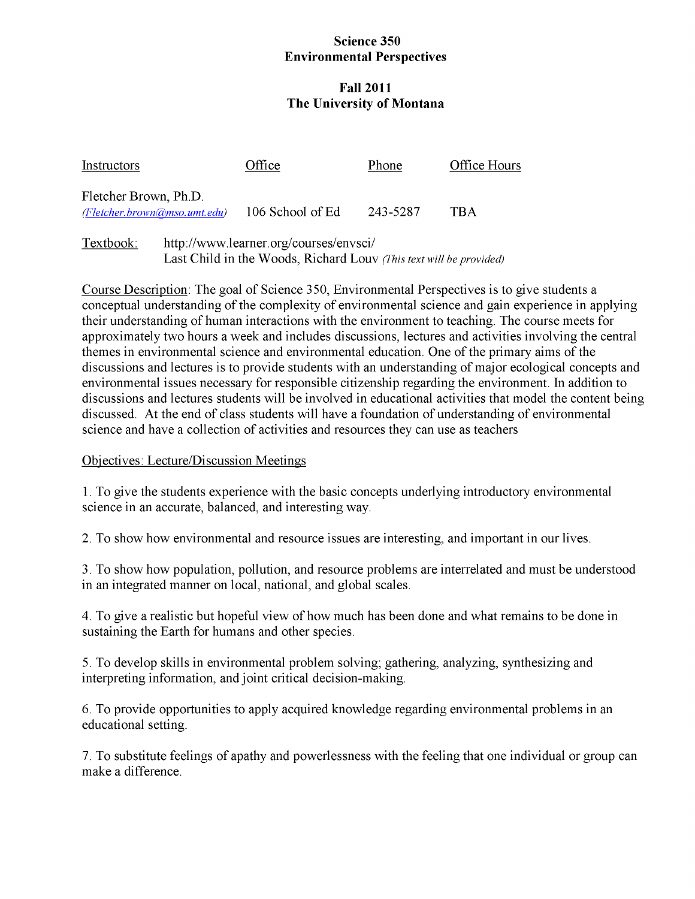#### **Science 350 Environmental Perspectives**

### **Fall 2011 The University of Montana**

| Instructors                                             | Office           | Phone    | Office Hours |
|---------------------------------------------------------|------------------|----------|--------------|
| Fletcher Brown, Ph.D.<br>$F$ letcher.brown@mso.umt.edu) | 106 School of Ed | 243-5287 | <b>TRA</b>   |

Textbook: http://www.learner.org/courses/envsci/ Last Child in the Woods, Richard Louv *(This text will be provided)*

Course Description: The goal of Science 350, Environmental Perspectives is to give students a conceptual understanding of the complexity of environmental science and gain experience in applying their understanding of human interactions with the environment to teaching. The course meets for approximately two hours a week and includes discussions, lectures and activities involving the central themes in environmental science and environmental education. One of the primary aims of the discussions and lectures is to provide students with an understanding of major ecological concepts and environmental issues necessary for responsible citizenship regarding the environment. In addition to discussions and lectures students will be involved in educational activities that model the content being discussed. At the end of class students will have a foundation of understanding of environmental science and have a collection of activities and resources they can use as teachers

### Objectives: Lecture/Discussion Meetings

1. To give the students experience with the basic concepts underlying introductory environmental science in an accurate, balanced, and interesting way.

2. To show how environmental and resource issues are interesting, and important in our lives.

3. To show how population, pollution, and resource problems are interrelated and must be understood in an integrated manner on local, national, and global scales.

4. To give a realistic but hopeful view of how much has been done and what remains to be done in sustaining the Earth for humans and other species.

5. To develop skills in environmental problem solving; gathering, analyzing, synthesizing and interpreting information, and joint critical decision-making.

6. To provide opportunities to apply acquired knowledge regarding environmental problems in an educational setting.

7. To substitute feelings of apathy and powerlessness with the feeling that one individual or group can make a difference.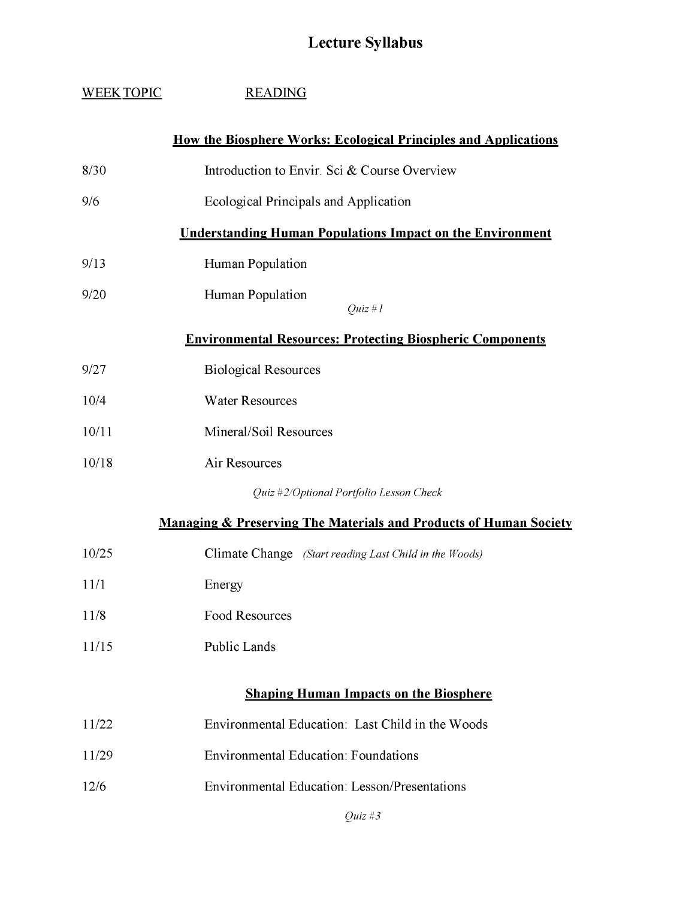# **Lecture Syllabus**

| WEEK TOPIC                                                       | <b>READING</b>                                                               |  |
|------------------------------------------------------------------|------------------------------------------------------------------------------|--|
|                                                                  | <b>How the Biosphere Works: Ecological Principles and Applications</b>       |  |
| 8/30                                                             | Introduction to Envir. Sci & Course Overview                                 |  |
| 9/6                                                              | Ecological Principals and Application                                        |  |
|                                                                  | <b>Understanding Human Populations Impact on the Environment</b>             |  |
| 9/13                                                             | Human Population                                                             |  |
| 9/20                                                             | Human Population<br>$Quz \# I$                                               |  |
| <b>Environmental Resources: Protecting Biospheric Components</b> |                                                                              |  |
| 9/27                                                             | <b>Biological Resources</b>                                                  |  |
| 10/4                                                             | <b>Water Resources</b>                                                       |  |
| 10/11                                                            | Mineral/Soil Resources                                                       |  |
| 10/18                                                            | Air Resources                                                                |  |
|                                                                  | Quiz #2/Optional Portfolio Lesson Check                                      |  |
|                                                                  | <b>Managing &amp; Preserving The Materials and Products of Human Society</b> |  |
| 10/25                                                            | Climate Change (Start reading Last Child in the Woods)                       |  |
| 11/1                                                             | Energy                                                                       |  |
| 11/8                                                             | <b>Food Resources</b>                                                        |  |
| 11/15                                                            | Public Lands                                                                 |  |
|                                                                  | <b>Shaping Human Impacts on the Biosphere</b>                                |  |
|                                                                  |                                                                              |  |
| 11/22                                                            | Environmental Education: Last Child in the Woods                             |  |
| 11/29                                                            | <b>Environmental Education: Foundations</b>                                  |  |
| 12/6                                                             | <b>Environmental Education: Lesson/Presentations</b>                         |  |
|                                                                  | $Q$ uiz #3                                                                   |  |